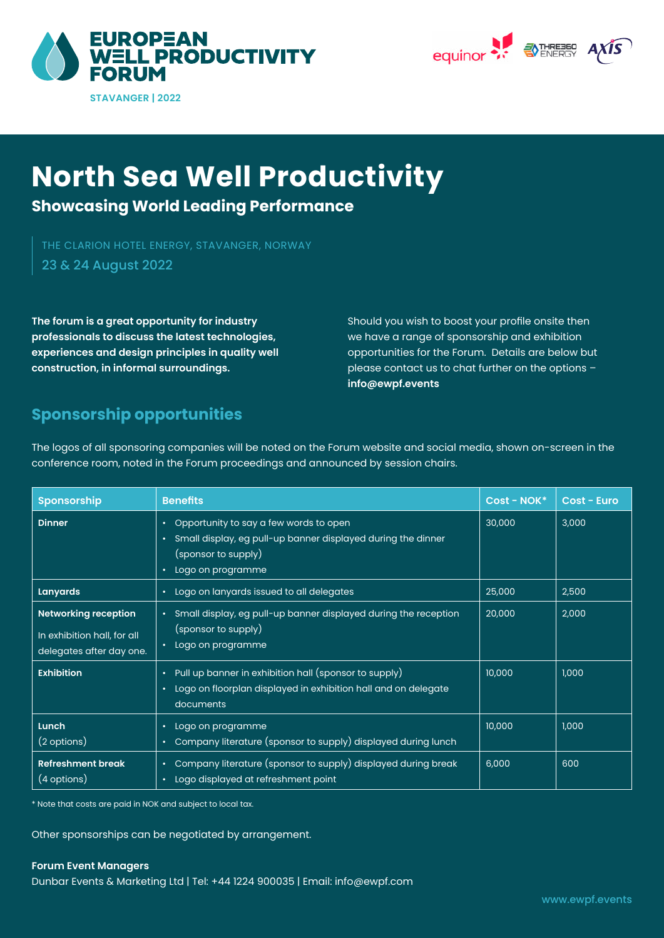



# **North Sea Well Productivity**

**Showcasing World Leading Performance**

23 & 24 August 2022 THE CLARION HOTEL ENERGY, STAVANGER, NORWAY

**The forum is a great opportunity for industry professionals to discuss the latest technologies, experiences and design principles in quality well construction, in informal surroundings.** 

Should you wish to boost your profile onsite then we have a range of sponsorship and exhibition opportunities for the Forum. Details are below but please contact us to chat further on the options – **info@ewpf.events** 

## **Sponsorship opportunities**

The logos of all sponsoring companies will be noted on the Forum website and social media, shown on-screen in the conference room, noted in the Forum proceedings and announced by session chairs.

| <b>Sponsorship</b>                                                                     | <b>Benefits</b>                                                                                                                                                                   | $Cost - NOK*$ | <b>Cost - Euro</b> |
|----------------------------------------------------------------------------------------|-----------------------------------------------------------------------------------------------------------------------------------------------------------------------------------|---------------|--------------------|
| <b>Dinner</b>                                                                          | Opportunity to say a few words to open<br>$\bullet$<br>Small display, eg pull-up banner displayed during the dinner<br>$\bullet$<br>(sponsor to supply)<br>Logo on programme<br>٠ | 30,000        | 3,000              |
| <b>Lanyards</b>                                                                        | Logo on lanyards issued to all delegates<br>$\bullet$                                                                                                                             | 25,000        | 2,500              |
| <b>Networking reception</b><br>In exhibition hall, for all<br>delegates after day one. | • Small display, eg pull-up banner displayed during the reception<br>(sponsor to supply)<br>Logo on programme<br>$\bullet$                                                        | 20,000        | 2,000              |
| <b>Exhibition</b>                                                                      | Pull up banner in exhibition hall (sponsor to supply)<br>$\bullet$<br>Logo on floorplan displayed in exhibition hall and on delegate<br>٠<br>documents                            | 10,000        | 1,000              |
| Lunch<br>$(2 \text{ options})$                                                         | Logo on programme<br>٠<br>Company literature (sponsor to supply) displayed during lunch<br>٠                                                                                      | 10,000        | 1,000              |
| <b>Refreshment break</b><br>(4 options)                                                | Company literature (sponsor to supply) displayed during break<br>$\bullet$<br>Logo displayed at refreshment point<br>٠                                                            | 6,000         | 600                |

\* Note that costs are paid in NOK and subject to local tax.

Other sponsorships can be negotiated by arrangement.

## **Forum Event Managers**

Dunbar Events & Marketing Ltd | Tel: +44 1224 900035 | Email: info@ewpf.com